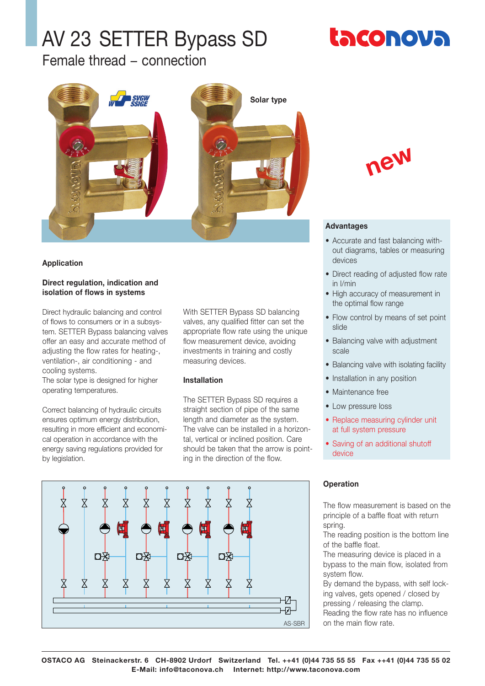Female thread − connection



## **Application**

#### **Direct regulation, indication and isolation of flows in systems**

Direct hydraulic balancing and control of flows to consumers or in a subsystem. SETTER Bypass balancing valves offer an easy and accurate method of adjusting the flow rates for heating-, ventilation-, air conditioning - and cooling systems.

The solar type is designed for higher operating temperatures.

Correct balancing of hydraulic circuits ensures optimum energy distribution, resulting in more efficient and economical operation in accordance with the energy saving regulations provided for by legislation.

With SETTER Bypass SD balancing valves, any qualified fitter can set the appropriate flow rate using the unique flow measurement device, avoiding investments in training and costly measuring devices.

#### **Installation**

The SETTER Bypass SD requires a straight section of pipe of the same length and diameter as the system. The valve can be installed in a horizontal, vertical or inclined position. Care should be taken that the arrow is pointing in the direction of the flow.



## **Advantages**

- Accurate and fast balancing without diagrams, tables or measuring devices
- Direct reading of adjusted flow rate in l/min
- High accuracy of measurement in the optimal flow range
- Flow control by means of set point slide
- Balancing valve with adjustment scale
- Balancing valve with isolating facility
- Installation in any position
- Maintenance free
- Low pressure loss
- Replace measuring cylinder unit at full system pressure
- Saving of an additional shutoff device



# **Operation**

The flow measurement is based on the principle of a baffle float with return spring.

The reading position is the bottom line of the baffle float.

The measuring device is placed in a bypass to the main flow, isolated from system flow.

By demand the bypass, with self locking valves, gets opened / closed by pressing / releasing the clamp. Reading the flow rate has no influence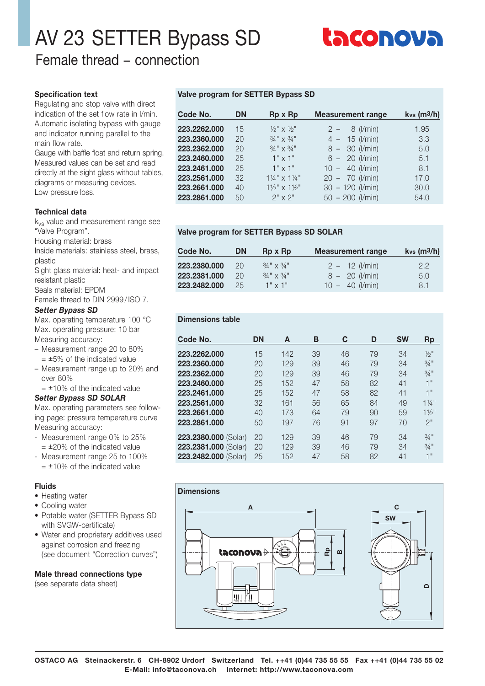Female thread − connection

#### **Specification text**

Regulating and stop valve with direct indication of the set flow rate in l/min. Automatic isolating bypass with gauge and indicator running parallel to the main flow rate.

Gauge with baffle float and return spring. Measured values can be set and read directly at the sight glass without tables, diagrams or measuring devices. Low pressure loss.

#### **Technical data**

kvs value and measurement range see "Valve Program".

Housing material: brass

Inside materials: stainless steel, brass, plastic

Sight glass material: heat- and impact resistant plastic

Seals material: EPDM

Female thread to DIN 2999 / ISO 7.

#### *Setter Bypass SD*

Max. operating temperature 100 °C Max. operating pressure: 10 bar Measuring accuracy:

- Measurement range 20 to 80%  $= \pm 5\%$  of the indicated value
- Measurement range up to 20% and over 80%

 $= \pm 10\%$  of the indicated value

# *Setter Bypass SD SOLAR*

Max. operating parameters see following page: pressure temperature curve Measuring accuracy:

- Measurement range 0% to 25%  $= \pm 20\%$  of the indicated value
- Measurement range 25 to 100%  $= \pm 10\%$  of the indicated value

## **Fluids**

- Heating water
- Cooling water
- Potable water (SETTER Bypass SD with SVGW-certificate)
- Water and proprietary additives used against corrosion and freezing (see document "Correction curves")

# **Male thread connections type**

(see separate data sheet)

#### **Valve program for SETTER Bypass SD**

| Code No.     | <b>DN</b> | Rp x Rp                                     | <b>Measurement range</b> | $kvs$ (m $3/h$ ) |
|--------------|-----------|---------------------------------------------|--------------------------|------------------|
| 223.2262.000 | 15        | $\frac{1}{2}$ x $\frac{1}{2}$ $\frac{1}{2}$ | $2 - 8$ (I/min)          | 1.95             |
| 223.2360.000 | 20        | $3/4$ " $\times$ $3/4$ "                    | $4 - 15$ (I/min)         | 3.3              |
| 223.2362.000 | 20        | $3/4$ " $\times$ $3/4$ "                    | $8 - 30$ (I/min)         | 5.0              |
| 223.2460.000 | 25        | $1" \times 1"$                              | $6 - 20$ (I/min)         | 5.1              |
| 223.2461.000 | 25        | $1" \times 1"$                              | $10 - 40$ (l/min)        | 8.1              |
| 223.2561.000 | 32        | $1\frac{1}{4}$ " x $1\frac{1}{4}$ "         | $20 - 70$ (l/min)        | 17.0             |
| 223.2661.000 | 40        | $1\frac{1}{2}$ " x $1\frac{1}{2}$ "         | $30 - 120$ (l/min)       | 30.0             |
| 223.2861.000 | 50        | $2'' \times 2''$                            | $50 - 200$ (l/min)       | 54.0             |

#### **Valve program for SETTER Bypass SD SOLAR**

| Code No.     | DN | Rp x Rp                  | <b>Measurement range</b>  | $kvs$ (m <sup>3</sup> /h) |
|--------------|----|--------------------------|---------------------------|---------------------------|
| 223.2380.000 | 20 | $3/4$ " $\times$ $3/4$ " | $2 - 12$ ( <i>l/min</i> ) | $2.2^{\circ}$             |
| 223.2381.000 | 20 | $3/4$ " $\times$ $3/4$ " | $8 - 20$ (I/min)          | 5.0                       |
| 223.2482.000 | 25 | $1" \times 1"$           | $10 - 40$ (I/min)         | 8.1                       |

# **Dimensions table**

| Code No.             | <b>DN</b> | A   | B  | C  | D  | <b>SW</b> | <b>Rp</b>        |
|----------------------|-----------|-----|----|----|----|-----------|------------------|
| 223.2262.000         | 15        | 142 | 39 | 46 | 79 | 34        | $\frac{1}{2}$ "  |
| 223.2360.000         | 20        | 129 | 39 | 46 | 79 | 34        | $3/4$ "          |
| 223.2362.000         | 20        | 129 | 39 | 46 | 79 | 34        | $3/4$ "          |
| 223.2460.000         | 25        | 152 | 47 | 58 | 82 | 41        | 4 "              |
| 223.2461.000         | 25        | 152 | 47 | 58 | 82 | 41        | 1"               |
| 223.2561.000         | 32        | 161 | 56 | 65 | 84 | 49        | $1\frac{1}{4}$ " |
| 223.2661.000         | 40        | 173 | 64 | 79 | 90 | 59        | $1\frac{1}{2}$   |
| 223.2861.000         | 50        | 197 | 76 | 91 | 97 | 70        | 2"               |
| 223.2380.000 (Solar) | 20        | 129 | 39 | 46 | 79 | 34        | $3/4$ "          |
| 223.2381.000 (Solar) | 20        | 129 | 39 | 46 | 79 | 34        | $3/4$ "          |
| 223.2482.000 (Solar) | 25        | 152 | 47 | 58 | 82 | 41        | 1"               |



**OSTACO AG Steinackerstr. 6 CH-8902 Urdorf Switzerland Tel. ++41 (0)44 735 55 55 Fax ++41 (0)44 735 55 02 E-Mail: info@taconova.ch Internet: http://www.taconova.com**

| taconova |  |  |
|----------|--|--|
|----------|--|--|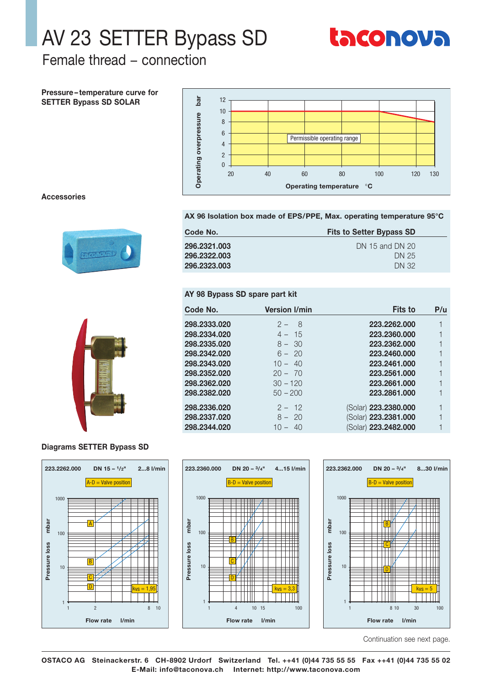

Female thread – connection

Pressure-temperature curve for **SETTER Bypass SD SOLAR** 



#### **Accessories**



#### AX 96 Isolation box made of EPS/PPE, Max. operating temperature 95°C

| Code No.     | <b>Fits to Setter Bypass SD</b> |  |  |
|--------------|---------------------------------|--|--|
| 296.2321.003 | DN 15 and DN 20                 |  |  |
| 296.2322.003 | DN 25                           |  |  |
| 296.2323.003 | DN 32                           |  |  |

Version I/min

 $2 - 8$ 

 $4 - 15$ 

 $8 - 30$ 

 $6 - 20$ 

 $10 - 40$ 

 $20 - 70$ 

 $30 - 120$ 

 $50 - 200$ 

 $2 - 12$ 

 $8 - 20$ 

 $10 - 40$ 

#### AY 98 Bypass SD spare part kit

Code No.

298.2333.020

298.2334.020

298.2335.020

298.2342.020

298.2343.020

298.2352.020

298.2362.020

298.2382.020

298.2336.020

298.2337.020

298.2344.020

|  | 7 |  |  |
|--|---|--|--|
|  |   |  |  |

#### **Diagrams SETTER Bypass SD**







**Fits to** 

223.2262.000

223.2360.000

223.2362.000

223.2460.000

223.2461.000

223.2561.000

223.2661.000

223.2861.000

(Solar) 223.2380.000

(Solar) 223.2381.000

(Solar) 223.2482.000

 $P/u$ 

 $\mathbf{1}$ 

 $\mathbf{1}$ 

 $\overline{1}$ 

 $\mathbf{1}$ 

 $\mathbf{1}$ 

 $\overline{1}$ 

 $\overline{\phantom{a}}$ 

1

 $\overline{1}$ 

 $\mathbf{1}$ 

 $\mathbf{1}$ 

Continuation see next page.

OSTACO AG Steinackerstr. 6 CH-8902 Urdorf Switzerland Tel. ++41 (0)44 735 55 55 Fax ++41 (0)44 735 55 02 E-Mail: info@taconova.ch Internet: http://www.taconova.com